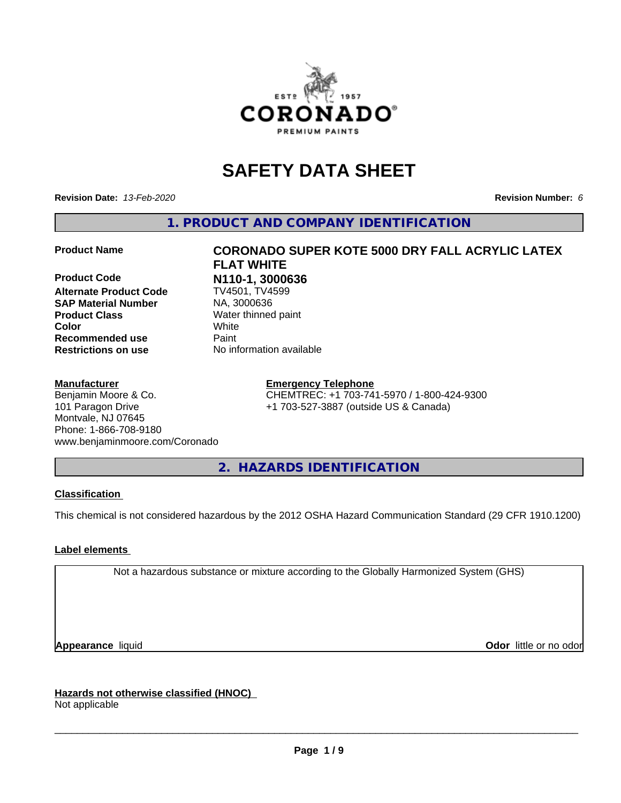

# **SAFETY DATA SHEET**

**Revision Date:** *13-Feb-2020* **Revision Number:** *6*

**1. PRODUCT AND COMPANY IDENTIFICATION**

**Product Code 19th R110-1, 3000636**<br>**Alternate Product Code** 1974501. TV4599 **Alternate Product Code SAP Material Number** NA, 3000636<br>**Product Class** Water thinned **Color** White **Recommended use Paint Restrictions on use** No information available

#### **Manufacturer**

Benjamin Moore & Co. 101 Paragon Drive Montvale, NJ 07645 Phone: 1-866-708-9180 www.benjaminmoore.com/Coronado

# **Product Name CORONADO SUPER KOTE 5000 DRY FALL ACRYLIC LATEX FLAT WHITE**

**Water thinned paint** 

**Emergency Telephone** CHEMTREC: +1 703-741-5970 / 1-800-424-9300

+1 703-527-3887 (outside US & Canada)

**2. HAZARDS IDENTIFICATION**

#### **Classification**

This chemical is not considered hazardous by the 2012 OSHA Hazard Communication Standard (29 CFR 1910.1200)

#### **Label elements**

Not a hazardous substance or mixture according to the Globally Harmonized System (GHS)

**Appearance** liquid **CODO** *Appearance liquid* **Odor** *CODO CODO* **<b>***CODO CODO CODO CODO CODO* 

**Hazards not otherwise classified (HNOC)** Not applicable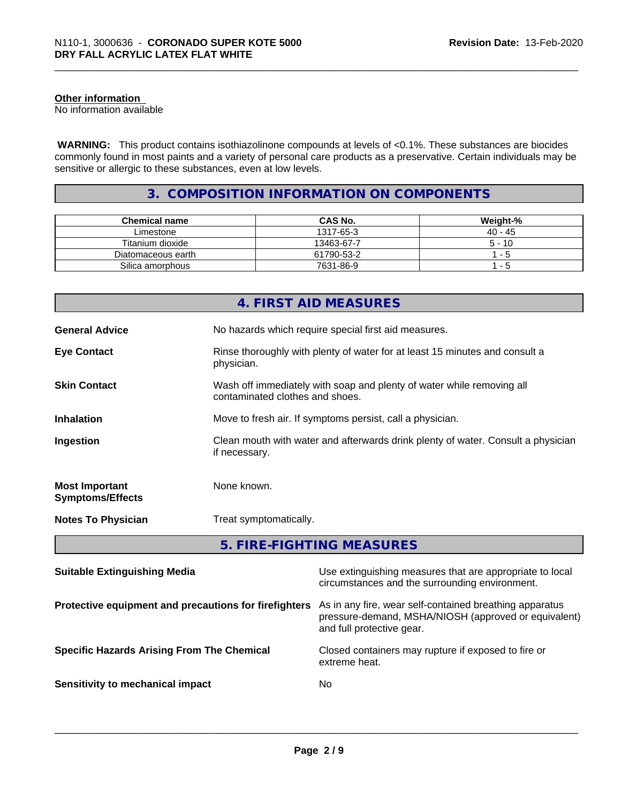#### **Other information**

No information available

 **WARNING:** This product contains isothiazolinone compounds at levels of <0.1%. These substances are biocides commonly found in most paints and a variety of personal care products as a preservative. Certain individuals may be sensitive or allergic to these substances, even at low levels.

#### **3. COMPOSITION INFORMATION ON COMPONENTS**

| <b>Chemical name</b> | <b>CAS No.</b> | Weight-%  |
|----------------------|----------------|-----------|
| Limestone            | 1317-65-3      | $40 - 45$ |
| Titanium dioxide     | 13463-67-7     | $5 - 10$  |
| Diatomaceous earth   | 61790-53-2     | - 5       |
| Silica amorphous     | 7631-86-9      | - 5       |

|                                                  | 4. FIRST AID MEASURES                                                                                    |
|--------------------------------------------------|----------------------------------------------------------------------------------------------------------|
| <b>General Advice</b>                            | No hazards which require special first aid measures.                                                     |
| <b>Eye Contact</b>                               | Rinse thoroughly with plenty of water for at least 15 minutes and consult a<br>physician.                |
| <b>Skin Contact</b>                              | Wash off immediately with soap and plenty of water while removing all<br>contaminated clothes and shoes. |
| <b>Inhalation</b>                                | Move to fresh air. If symptoms persist, call a physician.                                                |
| Ingestion                                        | Clean mouth with water and afterwards drink plenty of water. Consult a physician<br>if necessary.        |
| <b>Most Important</b><br><b>Symptoms/Effects</b> | None known.                                                                                              |
| <b>Notes To Physician</b>                        | Treat symptomatically.                                                                                   |
|                                                  | 5. FIRE-FIGHTING MEASURES                                                                                |

| <b>Suitable Extinguishing Media</b>                   | Use extinguishing measures that are appropriate to local<br>circumstances and the surrounding environment.                                   |
|-------------------------------------------------------|----------------------------------------------------------------------------------------------------------------------------------------------|
| Protective equipment and precautions for firefighters | As in any fire, wear self-contained breathing apparatus<br>pressure-demand, MSHA/NIOSH (approved or equivalent)<br>and full protective gear. |
| <b>Specific Hazards Arising From The Chemical</b>     | Closed containers may rupture if exposed to fire or<br>extreme heat.                                                                         |
| Sensitivity to mechanical impact                      | No.                                                                                                                                          |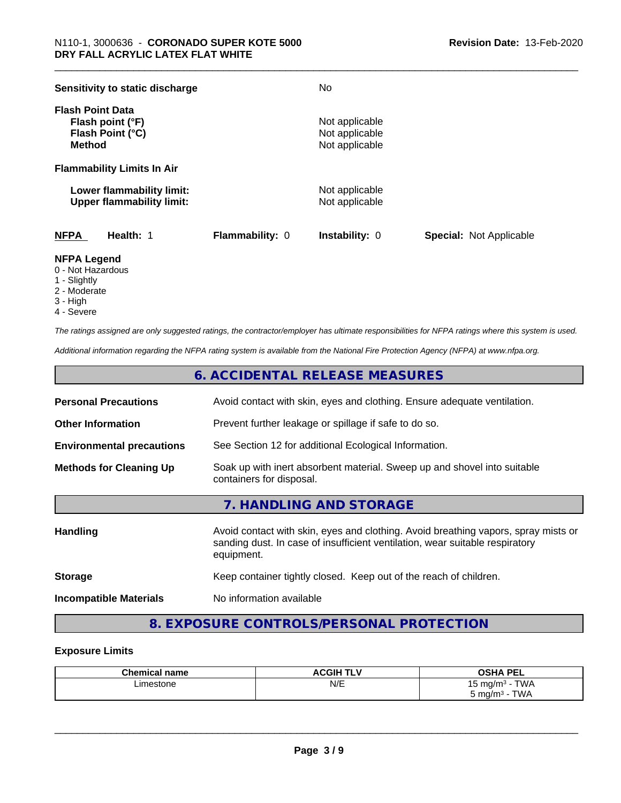| Sensitivity to static discharge                                                  |                        | No                                                 |                                |
|----------------------------------------------------------------------------------|------------------------|----------------------------------------------------|--------------------------------|
| <b>Flash Point Data</b><br>Flash point (°F)<br>Flash Point (°C)<br><b>Method</b> |                        | Not applicable<br>Not applicable<br>Not applicable |                                |
| <b>Flammability Limits In Air</b>                                                |                        |                                                    |                                |
| Lower flammability limit:<br><b>Upper flammability limit:</b>                    |                        | Not applicable<br>Not applicable                   |                                |
| <b>NFPA</b><br>Health: 1                                                         | <b>Flammability: 0</b> | <b>Instability: 0</b>                              | <b>Special: Not Applicable</b> |

#### **NFPA Legend**

- 0 Not Hazardous
- 1 Slightly
- 2 Moderate
- 3 High
- 4 Severe

*The ratings assigned are only suggested ratings, the contractor/employer has ultimate responsibilities for NFPA ratings where this system is used.*

*Additional information regarding the NFPA rating system is available from the National Fire Protection Agency (NFPA) at www.nfpa.org.*

#### **6. ACCIDENTAL RELEASE MEASURES**

| <b>Personal Precautions</b>      | Avoid contact with skin, eyes and clothing. Ensure adequate ventilation.                                                                                                         |
|----------------------------------|----------------------------------------------------------------------------------------------------------------------------------------------------------------------------------|
| <b>Other Information</b>         | Prevent further leakage or spillage if safe to do so.                                                                                                                            |
| <b>Environmental precautions</b> | See Section 12 for additional Ecological Information.                                                                                                                            |
| <b>Methods for Cleaning Up</b>   | Soak up with inert absorbent material. Sweep up and shovel into suitable<br>containers for disposal.                                                                             |
|                                  | 7. HANDLING AND STORAGE                                                                                                                                                          |
| <b>Handling</b>                  | Avoid contact with skin, eyes and clothing. Avoid breathing vapors, spray mists or<br>sanding dust. In case of insufficient ventilation, wear suitable respiratory<br>equipment. |
| <b>Storage</b>                   | Keep container tightly closed. Keep out of the reach of children.                                                                                                                |
|                                  |                                                                                                                                                                                  |

**Incompatible Materials** No information available

### **8. EXPOSURE CONTROLS/PERSONAL PROTECTION**

#### **Exposure Limits**

| Chemical<br>name | <b>ACGIHT</b><br>.<br>. . | <b>OCUA DEI</b><br>Jar<br>--                                    |
|------------------|---------------------------|-----------------------------------------------------------------|
| Limestone<br>.   | N/E                       | T1111<br>. .<br>ma/m <sup>3</sup><br>' VVA<br><b>ື່</b><br>- 11 |
|                  |                           | TWA<br>ma/m <sup>3</sup>                                        |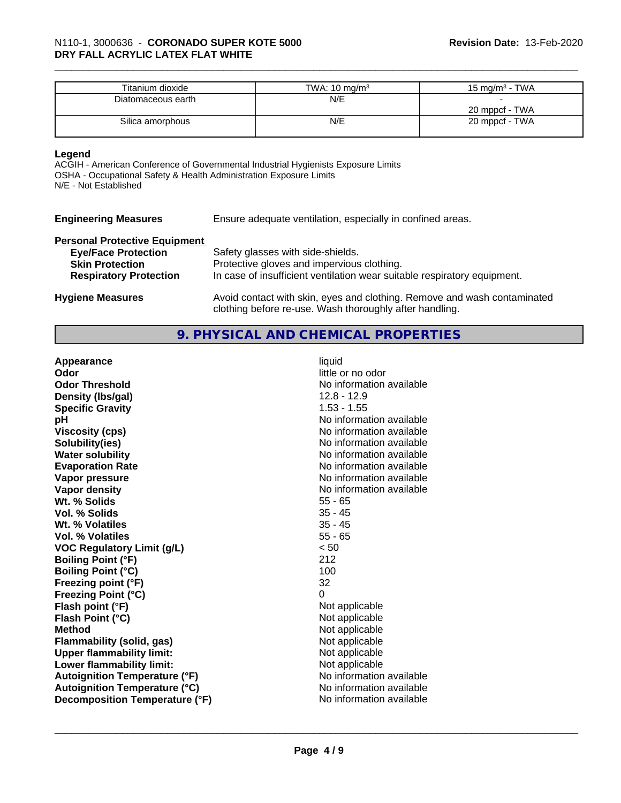| Titanium dioxide   | TWA: $10 \text{ mg/m}^3$ | 15 mg/m $3$ - TWA |
|--------------------|--------------------------|-------------------|
| Diatomaceous earth | N/E                      |                   |
|                    |                          | 20 mppcf - TWA    |
| Silica amorphous   | N/E                      | 20 mppcf - TWA    |
|                    |                          |                   |

#### **Legend**

ACGIH - American Conference of Governmental Industrial Hygienists Exposure Limits OSHA - Occupational Safety & Health Administration Exposure Limits N/E - Not Established

|  |  |  | <b>Engineering Measures</b> |
|--|--|--|-----------------------------|
|--|--|--|-----------------------------|

Ensure adequate ventilation, especially in confined areas.

#### **Personal Protective Equipment**

| <b>Eye/Face Protection</b>    | Safety glasses with side-shields.                                                                                                   |
|-------------------------------|-------------------------------------------------------------------------------------------------------------------------------------|
| <b>Skin Protection</b>        | Protective gloves and impervious clothing.                                                                                          |
| <b>Respiratory Protection</b> | In case of insufficient ventilation wear suitable respiratory equipment.                                                            |
| <b>Hygiene Measures</b>       | Avoid contact with skin, eyes and clothing. Remove and wash contaminated<br>clothing before re-use. Wash thoroughly after handling. |

#### **9. PHYSICAL AND CHEMICAL PROPERTIES**

| Appearance                           | liquid                   |
|--------------------------------------|--------------------------|
| Odor                                 | little or no odor        |
| <b>Odor Threshold</b>                | No information available |
| Density (Ibs/gal)                    | $12.8 - 12.9$            |
| <b>Specific Gravity</b>              | $1.53 - 1.55$            |
| рH                                   | No information available |
| <b>Viscosity (cps)</b>               | No information available |
| Solubility(ies)                      | No information available |
| <b>Water solubility</b>              | No information available |
| <b>Evaporation Rate</b>              | No information available |
| Vapor pressure                       | No information available |
| Vapor density                        | No information available |
| Wt. % Solids                         | $55 - 65$                |
| Vol. % Solids                        | $35 - 45$                |
| Wt. % Volatiles                      | $35 - 45$                |
| <b>Vol. % Volatiles</b>              | $55 - 65$                |
| <b>VOC Regulatory Limit (g/L)</b>    | < 50                     |
| <b>Boiling Point (°F)</b>            | 212                      |
| <b>Boiling Point (°C)</b>            | 100                      |
| Freezing point (°F)                  | 32                       |
| <b>Freezing Point (°C)</b>           | $\Omega$                 |
| Flash point (°F)                     | Not applicable           |
| Flash Point (°C)                     | Not applicable           |
| <b>Method</b>                        | Not applicable           |
| Flammability (solid, gas)            | Not applicable           |
| <b>Upper flammability limit:</b>     | Not applicable           |
| Lower flammability limit:            | Not applicable           |
| <b>Autoignition Temperature (°F)</b> | No information available |
| <b>Autoignition Temperature (°C)</b> | No information available |
| Decomposition Temperature (°F)       | No information available |
|                                      |                          |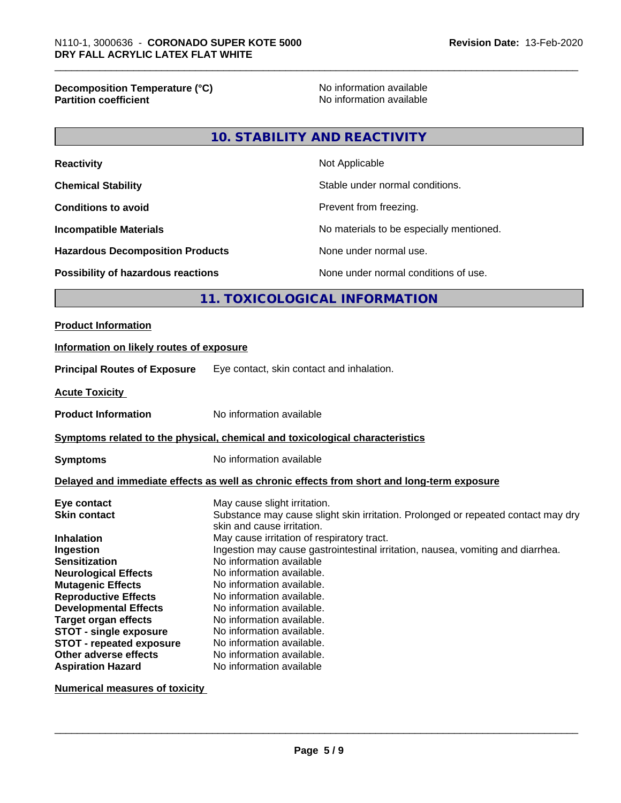# **Decomposition Temperature (°C)**<br> **Partition coefficient**<br> **Partition coefficient**<br> **No** information available

**No information available** 

#### **10. STABILITY AND REACTIVITY**

| <b>Reactivity</b>                         | Not Applicable                           |
|-------------------------------------------|------------------------------------------|
| <b>Chemical Stability</b>                 | Stable under normal conditions.          |
| <b>Conditions to avoid</b>                | Prevent from freezing.                   |
| <b>Incompatible Materials</b>             | No materials to be especially mentioned. |
| <b>Hazardous Decomposition Products</b>   | None under normal use.                   |
| <b>Possibility of hazardous reactions</b> | None under normal conditions of use.     |

#### **11. TOXICOLOGICAL INFORMATION**

## **Product Information Information on likely routes of exposure Principal Routes of Exposure** Eye contact, skin contact and inhalation. **Acute Toxicity Product Information** No information available **Symptoms** related to the physical, chemical and toxicological characteristics **Symptoms** No information available **Delayed and immediate effects as well as chronic effects from short and long-term exposure Eye contact Exercise Solution** May cause slight irritation.<br> **Skin contact May cause slight Substance may cause slight** Substance may cause slight skin irritation. Prolonged or repeated contact may dry skin and cause irritation. **Inhalation** May cause irritation of respiratory tract. **Ingestion Ingestion may cause gastrointestinal irritation**, nausea, vomiting and diarrhea. **Sensitization** No information available **Neurological Effects** No information available. **Mutagenic Effects** No information available. **Reproductive Effects** No information available.

**Developmental Effects** No information available. **Target organ effects** No information available. **STOT** - **single exposure** No information available. **STOT - repeated exposure** No information available. **Other adverse effects** No information available. **Aspiration Hazard** No information available

**Numerical measures of toxicity**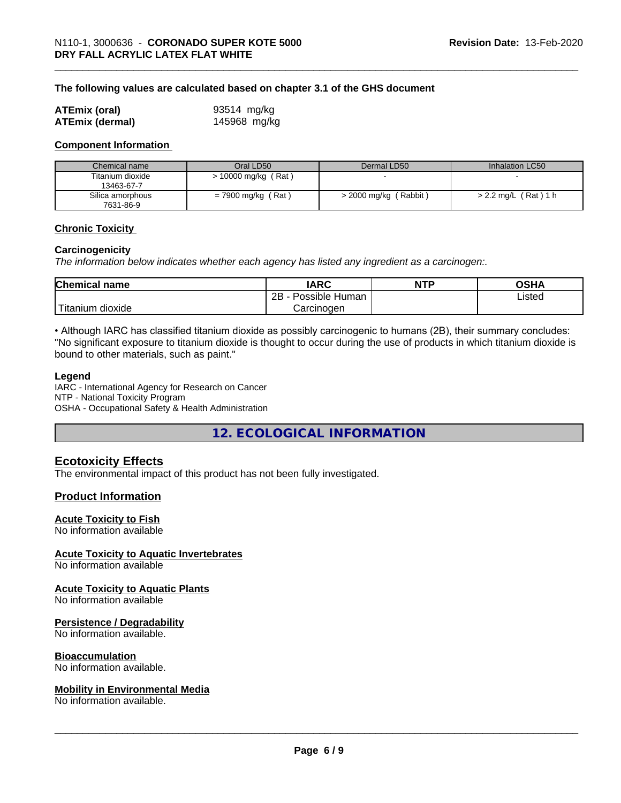#### **The following values are calculated based on chapter 3.1 of the GHS document**

| <b>ATEmix (oral)</b>   | 93514 mg/kg  |
|------------------------|--------------|
| <b>ATEmix (dermal)</b> | 145968 mg/kg |

#### **Component Information**

| Chemical name                 | Oral LD50            | Dermal LD50         | Inhalation LC50                      |
|-------------------------------|----------------------|---------------------|--------------------------------------|
| Titanium dioxide              | 10000 mg/kg (Rat)    |                     |                                      |
| 13463-67-7                    |                      |                     |                                      |
| Silica amorphous<br>7631-86-9 | $= 7900$ mg/kg (Rat) | 2000 mg/kg (Rabbit) | (Rat) 1 h<br>$>$ 2.2 mg/L $\sqrt{ }$ |

#### **Chronic Toxicity**

#### **Carcinogenicity**

*The information below indicateswhether each agency has listed any ingredient as a carcinogen:.*

| <b>Chemical</b><br>name | <b>IARC</b>                  | <b>NTP</b> | ດຂ⊔ ∧<br>⊣חט |  |
|-------------------------|------------------------------|------------|--------------|--|
|                         | .<br>2B<br>Human<br>Possible |            | Listed       |  |
| <br>dioxide<br>itanium  | Carcinogen                   |            |              |  |

• Although IARC has classified titanium dioxide as possibly carcinogenic to humans (2B), their summary concludes: "No significant exposure to titanium dioxide is thought to occur during the use of products in which titanium dioxide is bound to other materials, such as paint."

#### **Legend**

IARC - International Agency for Research on Cancer NTP - National Toxicity Program OSHA - Occupational Safety & Health Administration

**12. ECOLOGICAL INFORMATION**

#### **Ecotoxicity Effects**

The environmental impact of this product has not been fully investigated.

#### **Product Information**

#### **Acute Toxicity to Fish**

No information available

#### **Acute Toxicity to Aquatic Invertebrates**

No information available

#### **Acute Toxicity to Aquatic Plants**

No information available

#### **Persistence / Degradability**

No information available.

#### **Bioaccumulation**

No information available.

#### **Mobility in Environmental Media**

No information available.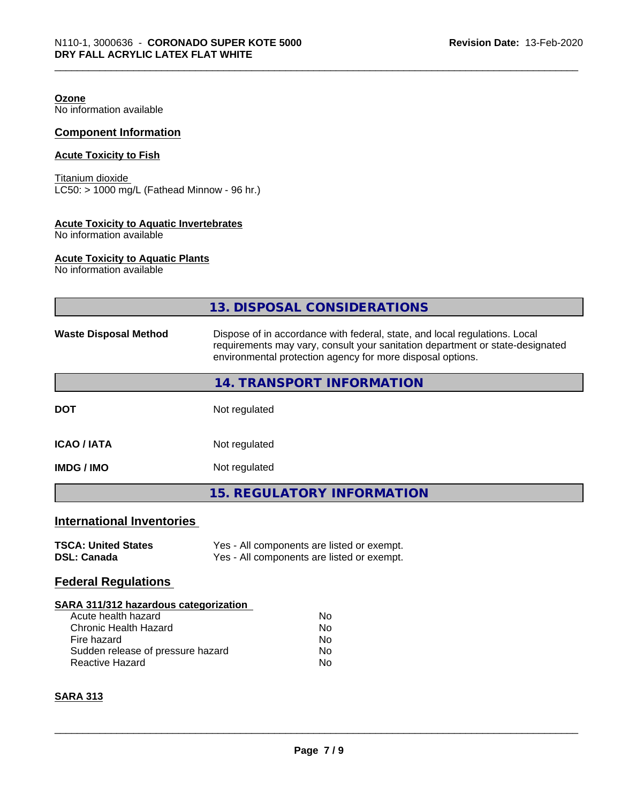**Ozone**

No information available

#### **Component Information**

#### **Acute Toxicity to Fish**

Titanium dioxide  $\overline{\text{LC50}}$ : > 1000 mg/L (Fathead Minnow - 96 hr.)

#### **Acute Toxicity to Aquatic Invertebrates**

No information available

#### **Acute Toxicity to Aquatic Plants**

No information available

|                                                  | 13. DISPOSAL CONSIDERATIONS                                                                                                                                                                                               |  |  |
|--------------------------------------------------|---------------------------------------------------------------------------------------------------------------------------------------------------------------------------------------------------------------------------|--|--|
| <b>Waste Disposal Method</b>                     | Dispose of in accordance with federal, state, and local regulations. Local<br>requirements may vary, consult your sanitation department or state-designated<br>environmental protection agency for more disposal options. |  |  |
|                                                  | 14. TRANSPORT INFORMATION                                                                                                                                                                                                 |  |  |
| <b>DOT</b>                                       | Not regulated                                                                                                                                                                                                             |  |  |
| <b>ICAO / IATA</b>                               | Not regulated                                                                                                                                                                                                             |  |  |
| <b>IMDG / IMO</b>                                | Not regulated                                                                                                                                                                                                             |  |  |
|                                                  | <b>15. REGULATORY INFORMATION</b>                                                                                                                                                                                         |  |  |
| <b>International Inventories</b>                 |                                                                                                                                                                                                                           |  |  |
| <b>TSCA: United States</b><br><b>DSL: Canada</b> | Yes - All components are listed or exempt.<br>Yes - All components are listed or exempt.                                                                                                                                  |  |  |
| <b>Federal Regulations</b>                       |                                                                                                                                                                                                                           |  |  |
| SARA 311/312 hazardous categorization            |                                                                                                                                                                                                                           |  |  |
| Acute health hazard                              | No                                                                                                                                                                                                                        |  |  |
| <b>Chronic Health Hazard</b>                     | No                                                                                                                                                                                                                        |  |  |
| Fire hazard                                      | No                                                                                                                                                                                                                        |  |  |
| Sudden release of pressure hazard                | N <sub>o</sub>                                                                                                                                                                                                            |  |  |
| Reactive Hazard                                  | No                                                                                                                                                                                                                        |  |  |
| <b>SARA 313</b>                                  |                                                                                                                                                                                                                           |  |  |
|                                                  |                                                                                                                                                                                                                           |  |  |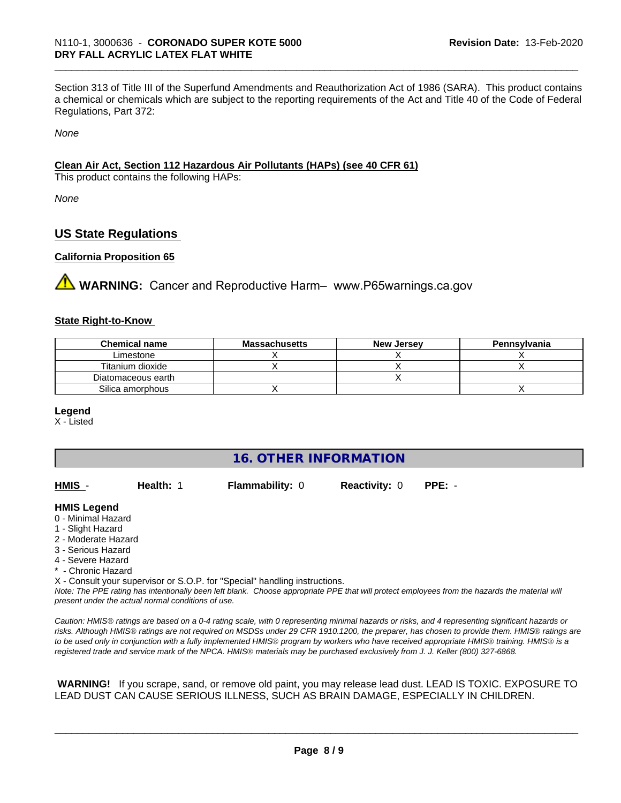Section 313 of Title III of the Superfund Amendments and Reauthorization Act of 1986 (SARA). This product contains a chemical or chemicals which are subject to the reporting requirements of the Act and Title 40 of the Code of Federal Regulations, Part 372:

*None*

#### **Clean Air Act,Section 112 Hazardous Air Pollutants (HAPs) (see 40 CFR 61)**

This product contains the following HAPs:

*None*

#### **US State Regulations**

#### **California Proposition 65**

**AVIMARNING:** Cancer and Reproductive Harm– www.P65warnings.ca.gov

#### **State Right-to-Know**

| <b>Chemical name</b> | <b>Massachusetts</b> | <b>New Jersey</b> | Pennsylvania |
|----------------------|----------------------|-------------------|--------------|
| Limestone            |                      |                   |              |
| Titanium dioxide     |                      |                   |              |
| Diatomaceous earth   |                      |                   |              |
| Silica amorphous     |                      |                   |              |

#### **Legend**

X - Listed

#### **16. OTHER INFORMATION**

| HMIS | Health: 1 | <b>Flammability: 0</b> | <b>Reactivity: 0</b> | $PPE: -$ |
|------|-----------|------------------------|----------------------|----------|
|      |           |                        |                      |          |

#### **HMIS Legend**

- 0 Minimal Hazard
- 1 Slight Hazard
- 2 Moderate Hazard
- 3 Serious Hazard
- 4 Severe Hazard
- \* Chronic Hazard

X - Consult your supervisor or S.O.P. for "Special" handling instructions.

*Note: The PPE rating has intentionally been left blank. Choose appropriate PPE that will protect employees from the hazards the material will present under the actual normal conditions of use.*

*Caution: HMISÒ ratings are based on a 0-4 rating scale, with 0 representing minimal hazards or risks, and 4 representing significant hazards or risks. Although HMISÒ ratings are not required on MSDSs under 29 CFR 1910.1200, the preparer, has chosen to provide them. HMISÒ ratings are to be used only in conjunction with a fully implemented HMISÒ program by workers who have received appropriate HMISÒ training. HMISÒ is a registered trade and service mark of the NPCA. HMISÒ materials may be purchased exclusively from J. J. Keller (800) 327-6868.*

 **WARNING!** If you scrape, sand, or remove old paint, you may release lead dust. LEAD IS TOXIC. EXPOSURE TO LEAD DUST CAN CAUSE SERIOUS ILLNESS, SUCH AS BRAIN DAMAGE, ESPECIALLY IN CHILDREN.